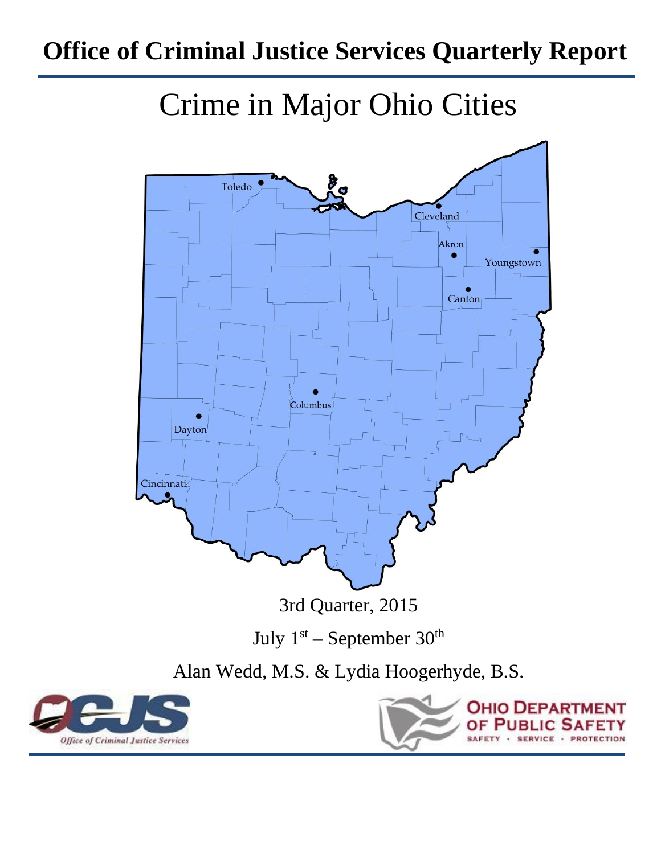## **Office of Criminal Justice Services Quarterly Report**

# Crime in Major Ohio Cities





**OHIO DEPART** PUR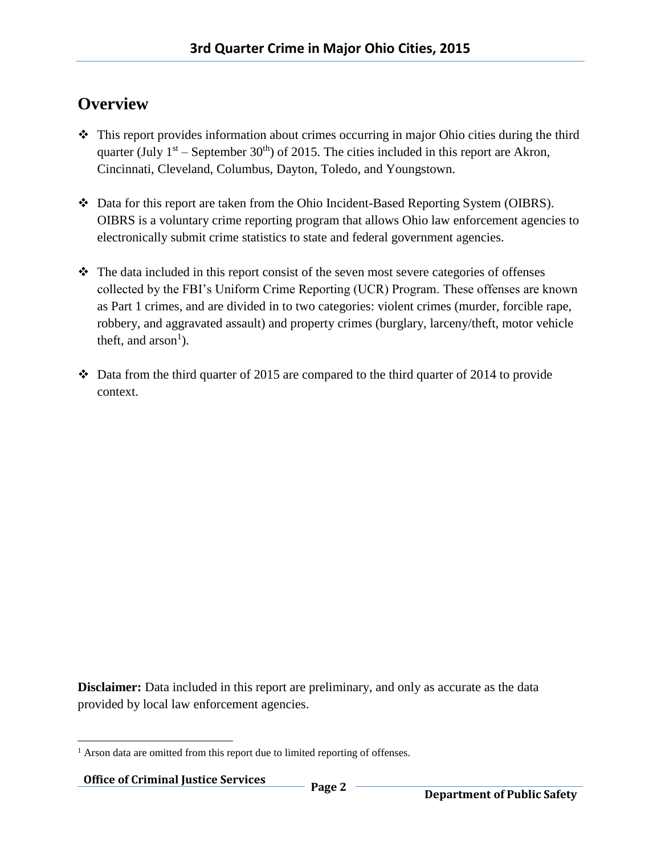## **Overview**

- $\cdot$  This report provides information about crimes occurring in major Ohio cities during the third quarter (July  $1<sup>st</sup>$  – September 30<sup>th</sup>) of 2015. The cities included in this report are Akron, Cincinnati, Cleveland, Columbus, Dayton, Toledo, and Youngstown.
- Data for this report are taken from the Ohio Incident-Based Reporting System (OIBRS). OIBRS is a voluntary crime reporting program that allows Ohio law enforcement agencies to electronically submit crime statistics to state and federal government agencies.
- The data included in this report consist of the seven most severe categories of offenses collected by the FBI's Uniform Crime Reporting (UCR) Program. These offenses are known as Part 1 crimes, and are divided in to two categories: violent crimes (murder, forcible rape, robbery, and aggravated assault) and property crimes (burglary, larceny/theft, motor vehicle theft, and  $arson<sup>1</sup>$ ).
- $\cdot$  Data from the third quarter of 2015 are compared to the third quarter of 2014 to provide context.

**Disclaimer:** Data included in this report are preliminary, and only as accurate as the data provided by local law enforcement agencies.

 $\overline{a}$ <sup>1</sup> Arson data are omitted from this report due to limited reporting of offenses.

**Office of Criminal Justice Services Page 2**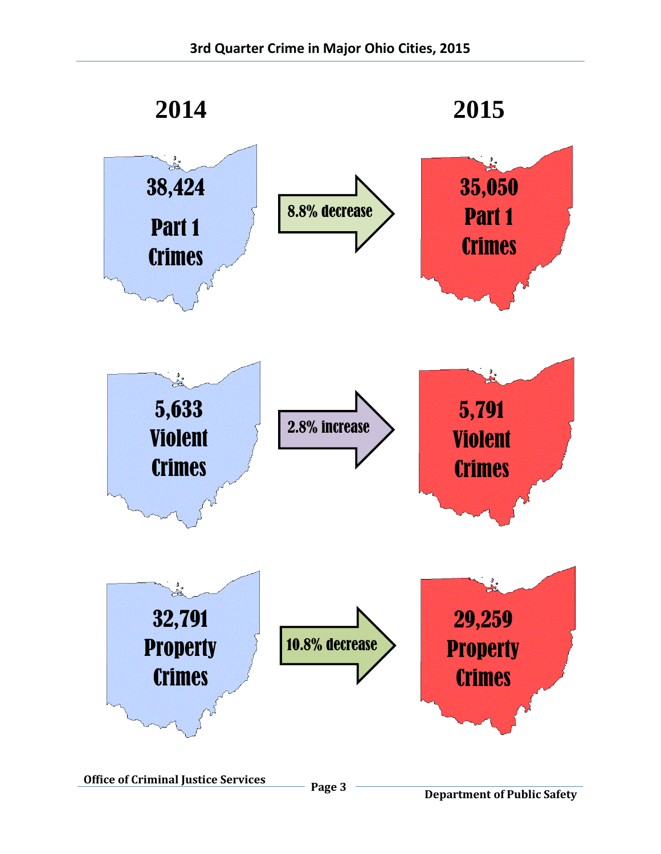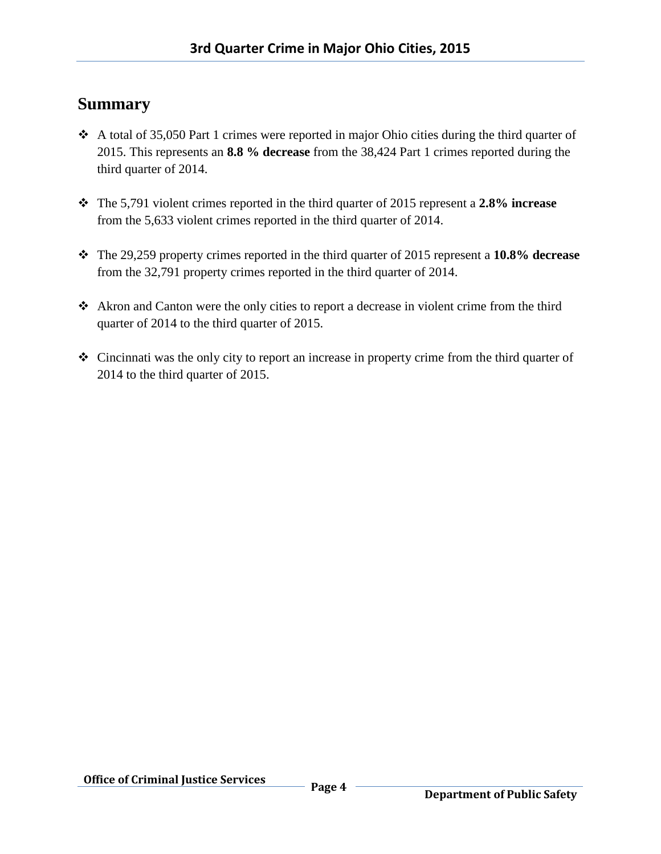## **Summary**

- $\triangle$  A total of 35,050 Part 1 crimes were reported in major Ohio cities during the third quarter of 2015. This represents an **8.8 % decrease** from the 38,424 Part 1 crimes reported during the third quarter of 2014.
- The 5,791 violent crimes reported in the third quarter of 2015 represent a **2.8% increase** from the 5,633 violent crimes reported in the third quarter of 2014.
- The 29,259 property crimes reported in the third quarter of 2015 represent a **10.8% decrease** from the 32,791 property crimes reported in the third quarter of 2014.
- Akron and Canton were the only cities to report a decrease in violent crime from the third quarter of 2014 to the third quarter of 2015.
- Cincinnati was the only city to report an increase in property crime from the third quarter of 2014 to the third quarter of 2015.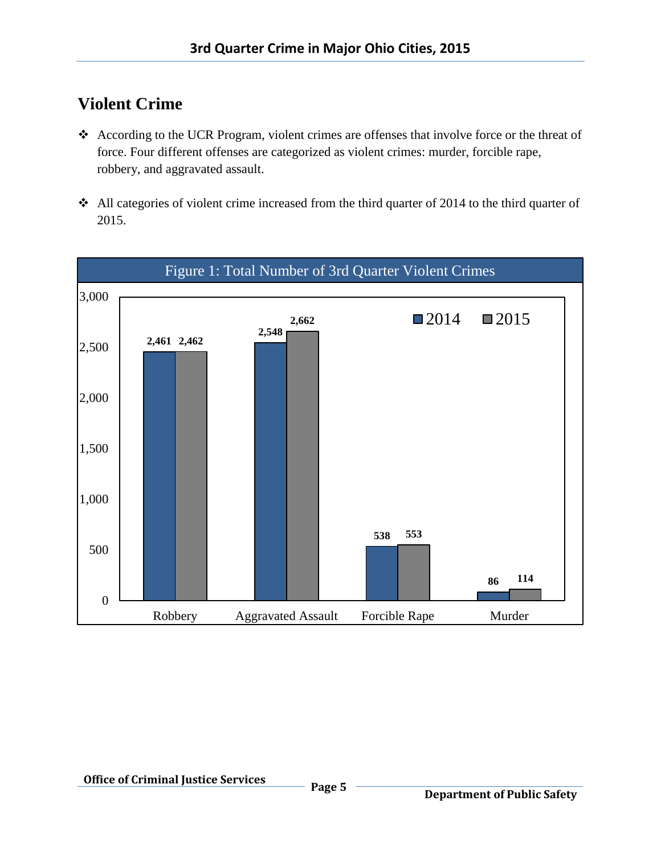## **Violent Crime**

- According to the UCR Program, violent crimes are offenses that involve force or the threat of force. Four different offenses are categorized as violent crimes: murder, forcible rape, robbery, and aggravated assault.
- All categories of violent crime increased from the third quarter of 2014 to the third quarter of 2015.

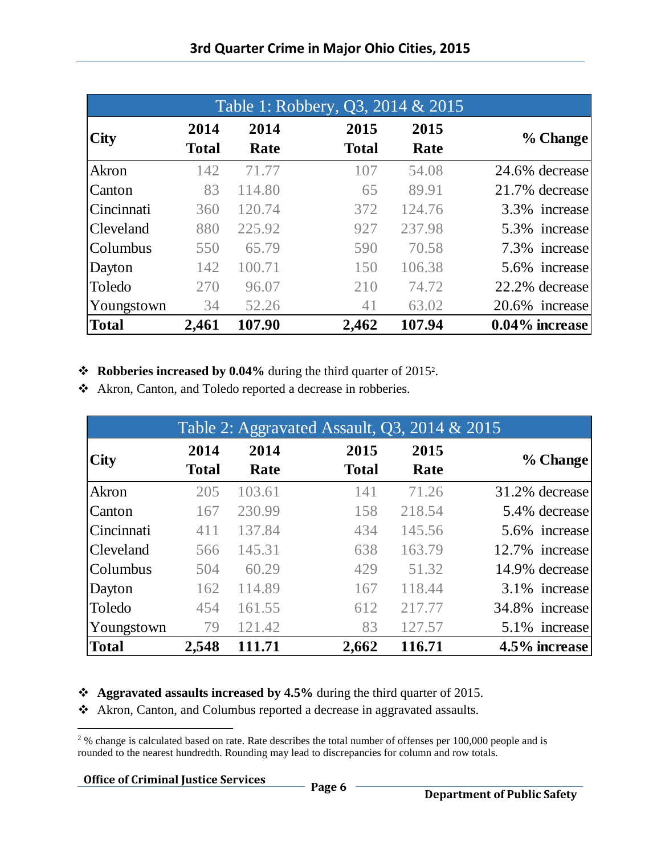|              |              |        | Table 1: Robbery, Q3, 2014 & 2015 |        |                |
|--------------|--------------|--------|-----------------------------------|--------|----------------|
| <b>City</b>  | 2014         | 2014   | 2015                              | 2015   |                |
|              | <b>Total</b> | Rate   | <b>Total</b>                      | Rate   | % Change       |
| Akron        | 142          | 71.77  | 107                               | 54.08  | 24.6% decrease |
| Canton       | 83           | 114.80 | 65                                | 89.91  | 21.7% decrease |
| Cincinnati   | 360          | 120.74 | 372                               | 124.76 | 3.3% increase  |
| Cleveland    | 880          | 225.92 | 927                               | 237.98 | 5.3% increase  |
| Columbus     | 550          | 65.79  | 590                               | 70.58  | 7.3% increase  |
| Dayton       | 142          | 100.71 | 150                               | 106.38 | 5.6% increase  |
| Toledo       | 270          | 96.07  | 210                               | 74.72  | 22.2% decrease |
| Youngstown   | 34           | 52.26  | 41                                | 63.02  | 20.6% increase |
| <b>Total</b> | 2,461        | 107.90 | 2,462                             | 107.94 | 0.04% increase |

#### **❖** Robberies increased by 0.04% during the third quarter of 2015<sup>2</sup>.

Akron, Canton, and Toledo reported a decrease in robberies.

|                  |              |        | Table 2: Aggravated Assault, Q3, 2014 & 2015 |        |                |
|------------------|--------------|--------|----------------------------------------------|--------|----------------|
| <b>City</b>      | 2014         | 2014   | 2015                                         | 2015   |                |
|                  | <b>Total</b> | Rate   | <b>Total</b>                                 | Rate   | % Change       |
| Akron            | 205          | 103.61 | 141                                          | 71.26  | 31.2% decrease |
| Canton           | 167          | 230.99 | 158                                          | 218.54 | 5.4% decrease  |
| Cincinnati       | 411          | 137.84 | 434                                          | 145.56 | 5.6% increase  |
| <b>Cleveland</b> | 566          | 145.31 | 638                                          | 163.79 | 12.7% increase |
| Columbus         | 504          | 60.29  | 429                                          | 51.32  | 14.9% decrease |
| Dayton           | 162          | 114.89 | 167                                          | 118.44 | 3.1% increase  |
| Toledo           | 454          | 161.55 | 612                                          | 217.77 | 34.8% increase |
| Youngstown       | 79           | 121.42 | 83                                           | 127.57 | 5.1% increase  |
| <b>Total</b>     | 2,548        | 111.71 | 2,662                                        | 116.71 | 4.5% increase  |

#### **Aggravated assaults increased by 4.5%** during the third quarter of 2015.

Akron, Canton, and Columbus reported a decrease in aggravated assaults.

## **Office of Criminal Justice Services Page 6**

l  $2\%$  change is calculated based on rate. Rate describes the total number of offenses per 100,000 people and is rounded to the nearest hundredth. Rounding may lead to discrepancies for column and row totals.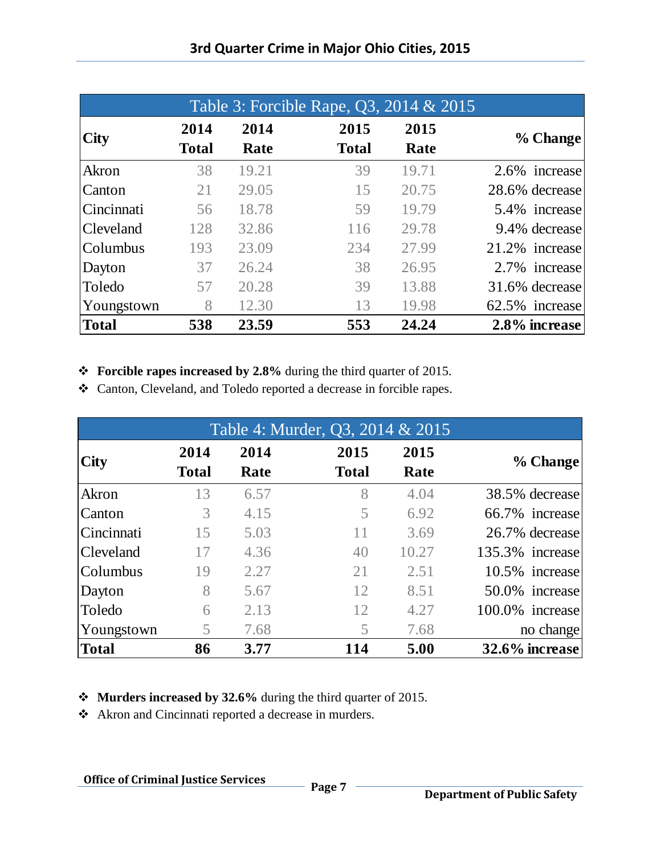| Table 3: Forcible Rape, Q3, 2014 & 2015 |              |       |              |       |                |  |
|-----------------------------------------|--------------|-------|--------------|-------|----------------|--|
|                                         | 2014         | 2014  | 2015         | 2015  |                |  |
| <b>City</b>                             | <b>Total</b> | Rate  | <b>Total</b> | Rate  | % Change       |  |
| Akron                                   | 38           | 19.21 | 39           | 19.71 | 2.6% increase  |  |
| Canton                                  | 21           | 29.05 | 15           | 20.75 | 28.6% decrease |  |
| Cincinnati                              | 56           | 18.78 | 59           | 19.79 | 5.4% increase  |  |
| Cleveland                               | 128          | 32.86 | 116          | 29.78 | 9.4% decrease  |  |
| Columbus                                | 193          | 23.09 | 234          | 27.99 | 21.2% increase |  |
| Dayton                                  | 37           | 26.24 | 38           | 26.95 | 2.7% increase  |  |
| Toledo                                  | 57           | 20.28 | 39           | 13.88 | 31.6% decrease |  |
| Youngstown                              | 8            | 12.30 | 13           | 19.98 | 62.5% increase |  |
| <b>Total</b>                            | 538          | 23.59 | 553          | 24.24 | 2.8% increase  |  |

**Forcible rapes increased by 2.8%** during the third quarter of 2015.

Canton, Cleveland, and Toledo reported a decrease in forcible rapes.

| Table 4: Murder, Q3, 2014 & 2015 |                      |              |                      |              |                 |
|----------------------------------|----------------------|--------------|----------------------|--------------|-----------------|
| <b>City</b>                      | 2014<br><b>Total</b> | 2014<br>Rate | 2015<br><b>Total</b> | 2015<br>Rate | % Change        |
| Akron                            | 13                   | 6.57         | 8                    | 4.04         | 38.5% decrease  |
| Canton                           | 3                    | 4.15         | 5                    | 6.92         | 66.7% increase  |
| Cincinnati                       | 15                   | 5.03         | 11                   | 3.69         | 26.7% decrease  |
| Cleveland                        | 17                   | 4.36         | 40                   | 10.27        | 135.3% increase |
| Columbus                         | 19                   | 2.27         | 21                   | 2.51         | 10.5% increase  |
| Dayton                           | 8                    | 5.67         | 12                   | 8.51         | 50.0% increase  |
| Toledo                           | 6                    | 2.13         | 12                   | 4.27         | 100.0% increase |
| Youngstown                       | 5                    | 7.68         | 5                    | 7.68         | no change       |
| <b>Total</b>                     | 86                   | 3.77         | 114                  | 5.00         | 32.6% increase  |

**Murders increased by 32.6%** during the third quarter of 2015.

Akron and Cincinnati reported a decrease in murders.

## **Office of Criminal Justice Services Page 7** -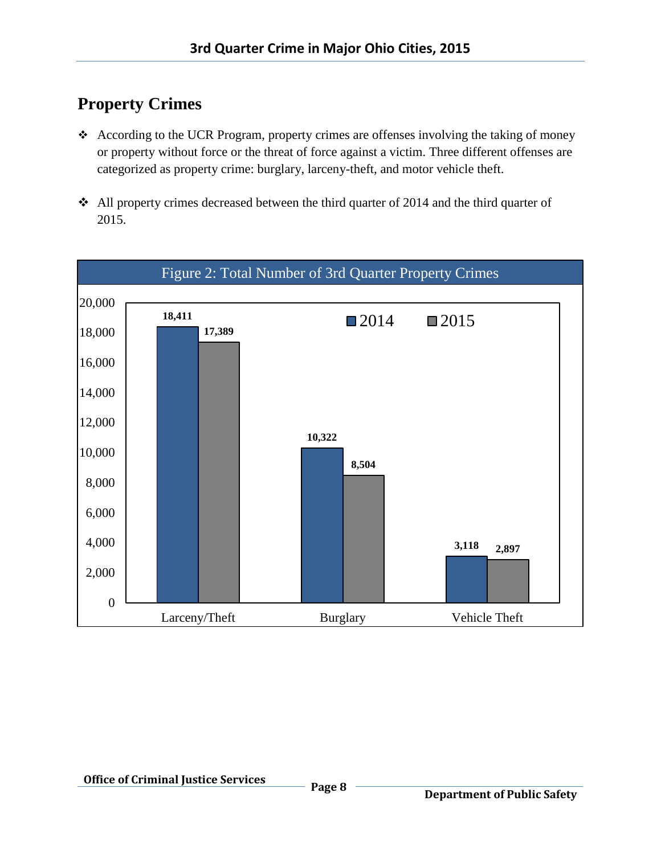## **Property Crimes**

- According to the UCR Program, property crimes are offenses involving the taking of money or property without force or the threat of force against a victim. Three different offenses are categorized as property crime: burglary, larceny-theft, and motor vehicle theft.
- $\cdot$  All property crimes decreased between the third quarter of 2014 and the third quarter of 2015.

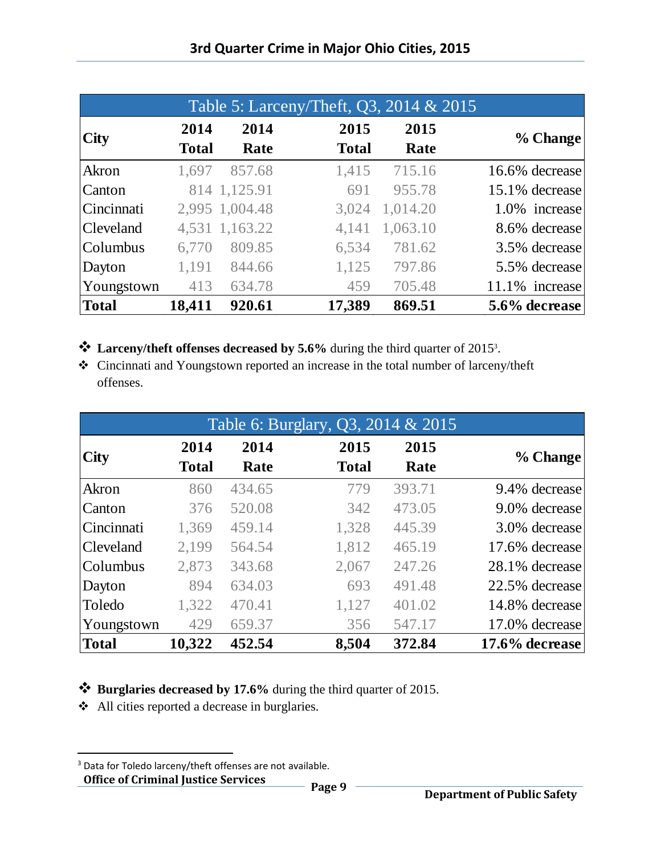|                  |              |                | Table 5: Larceny/Theft, Q3, 2014 & 2015 |          |                |
|------------------|--------------|----------------|-----------------------------------------|----------|----------------|
| <b>City</b>      | 2014         | 2014           | 2015                                    | 2015     | % Change       |
|                  | <b>Total</b> | Rate           | <b>Total</b>                            | Rate     |                |
| Akron            | 1,697        | 857.68         | 1,415                                   | 715.16   | 16.6% decrease |
| Canton           |              | 814 1,125.91   | 691                                     | 955.78   | 15.1% decrease |
| Cincinnati       |              | 2,995 1,004.48 | 3,024                                   | 1,014.20 | 1.0% increase  |
| <b>Cleveland</b> |              | 4,531 1,163.22 | 4,141                                   | 1,063.10 | 8.6% decrease  |
| Columbus         | 6,770        | 809.85         | 6,534                                   | 781.62   | 3.5% decrease  |
| Dayton           | 1,191        | 844.66         | 1,125                                   | 797.86   | 5.5% decrease  |
| Youngstown       | 413          | 634.78         | 459                                     | 705.48   | 11.1% increase |
| <b>Total</b>     | 18,411       | 920.61         | 17,389                                  | 869.51   | 5.6% decrease  |

- **Larceny/theft offenses decreased by 5.6%** during the third quarter of 2015<sup>3</sup> .
- Cincinnati and Youngstown reported an increase in the total number of larceny/theft offenses.

|                  | Table 6: Burglary, Q3, 2014 & 2015 |        |              |        |                   |
|------------------|------------------------------------|--------|--------------|--------|-------------------|
| <b>City</b>      | 2014                               | 2014   | 2015         | 2015   |                   |
|                  | <b>Total</b>                       | Rate   | <b>Total</b> | Rate   | % Change          |
| Akron            | 860                                | 434.65 | 779          | 393.71 | 9.4% decrease     |
| Canton           | 376                                | 520.08 | 342          | 473.05 | 9.0% decrease     |
| Cincinnati       | 1,369                              | 459.14 | 1,328        | 445.39 | 3.0% decrease     |
| <b>Cleveland</b> | 2,199                              | 564.54 | 1,812        | 465.19 | 17.6% decrease    |
| Columbus         | 2,873                              | 343.68 | 2,067        | 247.26 | 28.1% decrease    |
| Dayton           | 894                                | 634.03 | 693          | 491.48 | 22.5% decrease    |
| Toledo           | 1,322                              | 470.41 | 1,127        | 401.02 | 14.8% decrease    |
| Youngstown       | 429                                | 659.37 | 356          | 547.17 | 17.0% decrease    |
| <b>Total</b>     | 10,322                             | 452.54 | 8,504        | 372.84 | $17.6\%$ decrease |

**Burglaries decreased by 17.6%** during the third quarter of 2015.

All cities reported a decrease in burglaries.

 $\overline{\phantom{a}}$ 

**Office of Criminal Justice Services Page 9** -<sup>3</sup> Data for Toledo larceny/theft offenses are not available.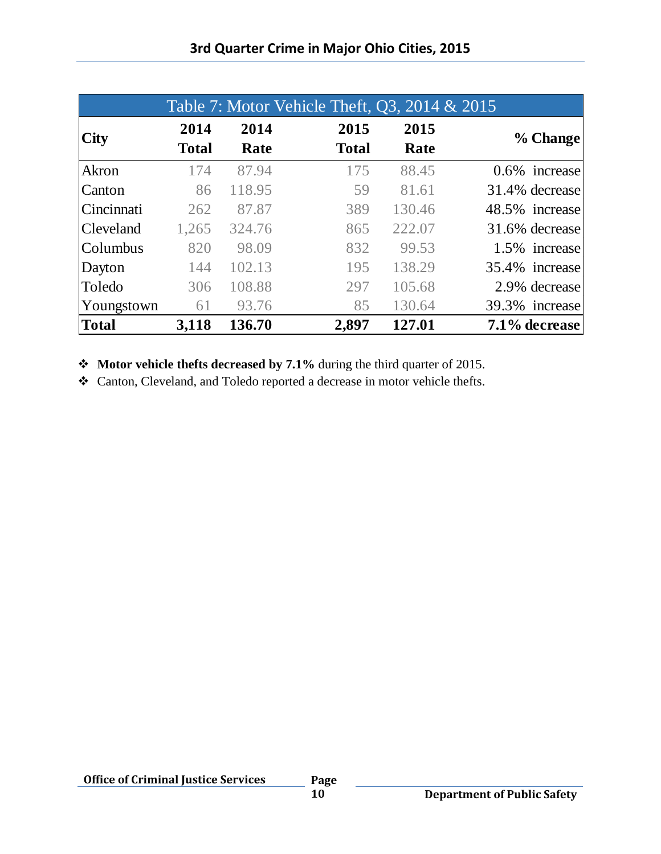|              |              |        | Table 7: Motor Vehicle Theft, Q3, 2014 & 2015 |        |                  |
|--------------|--------------|--------|-----------------------------------------------|--------|------------------|
| <b>City</b>  | 2014         | 2014   | 2015                                          | 2015   |                  |
|              | <b>Total</b> | Rate   | <b>Total</b>                                  | Rate   | % Change         |
| Akron        | 174          | 87.94  | 175                                           | 88.45  | $0.6\%$ increase |
| Canton       | 86           | 118.95 | 59                                            | 81.61  | 31.4% decrease   |
| Cincinnati   | 262          | 87.87  | 389                                           | 130.46 | 48.5% increase   |
| Cleveland    | 1,265        | 324.76 | 865                                           | 222.07 | 31.6% decrease   |
| Columbus     | 820          | 98.09  | 832                                           | 99.53  | 1.5% increase    |
| Dayton       | 144          | 102.13 | 195                                           | 138.29 | 35.4% increase   |
| Toledo       | 306          | 108.88 | 297                                           | 105.68 | 2.9% decrease    |
| Youngstown   | 61           | 93.76  | 85                                            | 130.64 | 39.3% increase   |
| <b>Total</b> | 3,118        | 136.70 | 2,897                                         | 127.01 | 7.1% decrease    |

**Motor vehicle thefts decreased by 7.1%** during the third quarter of 2015.

Canton, Cleveland, and Toledo reported a decrease in motor vehicle thefts.